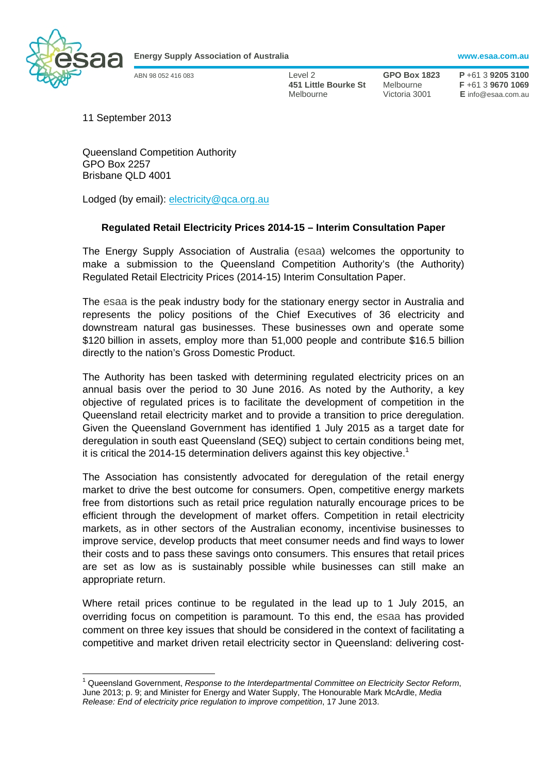

**Energy Supply Association of Australia www.esaa.com.au** 

ABN 98 052 416 083 Level 2 **GPO Box 1823 P** +61 3 **9205 3100 451 Little Bourke St** Melbourne **F** +61 3 **9670 1069**  Melbourne Victoria 3001 **E** info@esaa.com.au

11 September 2013

Queensland Competition Authority GPO Box 2257 Brisbane QLD 4001

Lodged (by email): electricity@qca.org.au

## **Regulated Retail Electricity Prices 2014-15 – Interim Consultation Paper**

The Energy Supply Association of Australia (esaa) welcomes the opportunity to make a submission to the Queensland Competition Authority's (the Authority) Regulated Retail Electricity Prices (2014-15) Interim Consultation Paper.

The esaa is the peak industry body for the stationary energy sector in Australia and represents the policy positions of the Chief Executives of 36 electricity and downstream natural gas businesses. These businesses own and operate some \$120 billion in assets, employ more than 51,000 people and contribute \$16.5 billion directly to the nation's Gross Domestic Product.

The Authority has been tasked with determining regulated electricity prices on an annual basis over the period to 30 June 2016. As noted by the Authority, a key objective of regulated prices is to facilitate the development of competition in the Queensland retail electricity market and to provide a transition to price deregulation. Given the Queensland Government has identified 1 July 2015 as a target date for deregulation in south east Queensland (SEQ) subject to certain conditions being met, it is critical the 2014-15 determination delivers against this key objective.<sup>1</sup>

The Association has consistently advocated for deregulation of the retail energy market to drive the best outcome for consumers. Open, competitive energy markets free from distortions such as retail price regulation naturally encourage prices to be efficient through the development of market offers. Competition in retail electricity markets, as in other sectors of the Australian economy, incentivise businesses to improve service, develop products that meet consumer needs and find ways to lower their costs and to pass these savings onto consumers. This ensures that retail prices are set as low as is sustainably possible while businesses can still make an appropriate return.

Where retail prices continue to be regulated in the lead up to 1 July 2015, an overriding focus on competition is paramount. To this end, the esaa has provided comment on three key issues that should be considered in the context of facilitating a competitive and market driven retail electricity sector in Queensland: delivering cost-

<sup>1</sup> Queensland Government, *Response to the Interdepartmental Committee on Electricity Sector Reform*, June 2013; p. 9; and Minister for Energy and Water Supply, The Honourable Mark McArdle, *Media Release: End of electricity price regulation to improve competition*, 17 June 2013.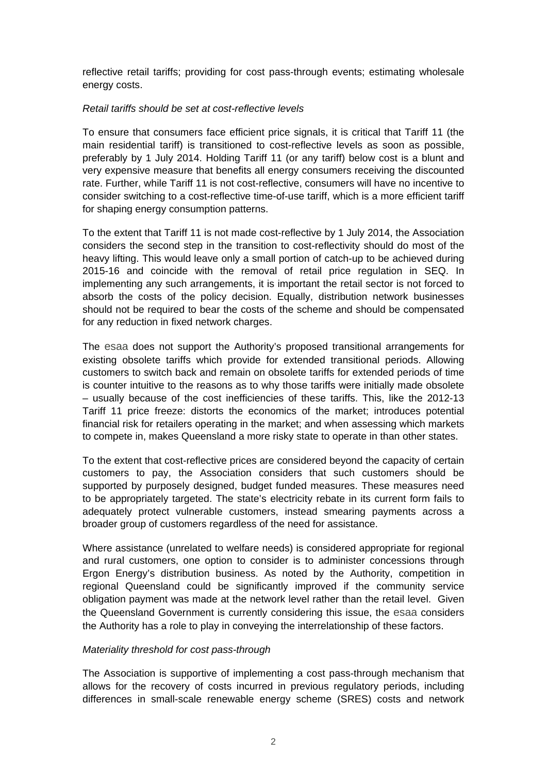reflective retail tariffs; providing for cost pass-through events; estimating wholesale energy costs.

## *Retail tariffs should be set at cost-reflective levels*

To ensure that consumers face efficient price signals, it is critical that Tariff 11 (the main residential tariff) is transitioned to cost-reflective levels as soon as possible, preferably by 1 July 2014. Holding Tariff 11 (or any tariff) below cost is a blunt and very expensive measure that benefits all energy consumers receiving the discounted rate. Further, while Tariff 11 is not cost-reflective, consumers will have no incentive to consider switching to a cost-reflective time-of-use tariff, which is a more efficient tariff for shaping energy consumption patterns.

To the extent that Tariff 11 is not made cost-reflective by 1 July 2014, the Association considers the second step in the transition to cost-reflectivity should do most of the heavy lifting. This would leave only a small portion of catch-up to be achieved during 2015-16 and coincide with the removal of retail price regulation in SEQ. In implementing any such arrangements, it is important the retail sector is not forced to absorb the costs of the policy decision. Equally, distribution network businesses should not be required to bear the costs of the scheme and should be compensated for any reduction in fixed network charges.

The esaa does not support the Authority's proposed transitional arrangements for existing obsolete tariffs which provide for extended transitional periods. Allowing customers to switch back and remain on obsolete tariffs for extended periods of time is counter intuitive to the reasons as to why those tariffs were initially made obsolete – usually because of the cost inefficiencies of these tariffs. This, like the 2012-13 Tariff 11 price freeze: distorts the economics of the market; introduces potential financial risk for retailers operating in the market; and when assessing which markets to compete in, makes Queensland a more risky state to operate in than other states.

To the extent that cost-reflective prices are considered beyond the capacity of certain customers to pay, the Association considers that such customers should be supported by purposely designed, budget funded measures. These measures need to be appropriately targeted. The state's electricity rebate in its current form fails to adequately protect vulnerable customers, instead smearing payments across a broader group of customers regardless of the need for assistance.

Where assistance (unrelated to welfare needs) is considered appropriate for regional and rural customers, one option to consider is to administer concessions through Ergon Energy's distribution business. As noted by the Authority, competition in regional Queensland could be significantly improved if the community service obligation payment was made at the network level rather than the retail level. Given the Queensland Government is currently considering this issue, the esaa considers the Authority has a role to play in conveying the interrelationship of these factors.

## *Materiality threshold for cost pass-through*

The Association is supportive of implementing a cost pass-through mechanism that allows for the recovery of costs incurred in previous regulatory periods, including differences in small-scale renewable energy scheme (SRES) costs and network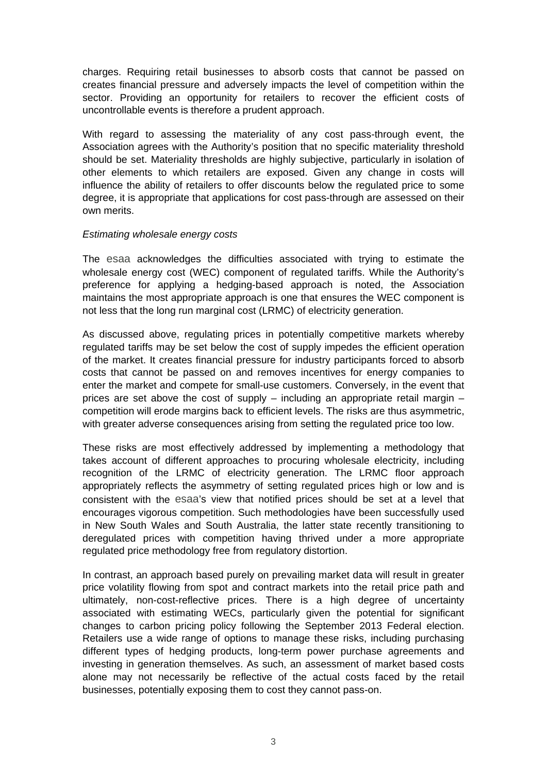charges. Requiring retail businesses to absorb costs that cannot be passed on creates financial pressure and adversely impacts the level of competition within the sector. Providing an opportunity for retailers to recover the efficient costs of uncontrollable events is therefore a prudent approach.

With regard to assessing the materiality of any cost pass-through event, the Association agrees with the Authority's position that no specific materiality threshold should be set. Materiality thresholds are highly subjective, particularly in isolation of other elements to which retailers are exposed. Given any change in costs will influence the ability of retailers to offer discounts below the regulated price to some degree, it is appropriate that applications for cost pass-through are assessed on their own merits.

## *Estimating wholesale energy costs*

The esaa acknowledges the difficulties associated with trying to estimate the wholesale energy cost (WEC) component of regulated tariffs. While the Authority's preference for applying a hedging-based approach is noted, the Association maintains the most appropriate approach is one that ensures the WEC component is not less that the long run marginal cost (LRMC) of electricity generation.

As discussed above, regulating prices in potentially competitive markets whereby regulated tariffs may be set below the cost of supply impedes the efficient operation of the market. It creates financial pressure for industry participants forced to absorb costs that cannot be passed on and removes incentives for energy companies to enter the market and compete for small-use customers. Conversely, in the event that prices are set above the cost of supply – including an appropriate retail margin – competition will erode margins back to efficient levels. The risks are thus asymmetric, with greater adverse consequences arising from setting the regulated price too low.

These risks are most effectively addressed by implementing a methodology that takes account of different approaches to procuring wholesale electricity, including recognition of the LRMC of electricity generation. The LRMC floor approach appropriately reflects the asymmetry of setting regulated prices high or low and is consistent with the esaa's view that notified prices should be set at a level that encourages vigorous competition. Such methodologies have been successfully used in New South Wales and South Australia, the latter state recently transitioning to deregulated prices with competition having thrived under a more appropriate regulated price methodology free from regulatory distortion.

In contrast, an approach based purely on prevailing market data will result in greater price volatility flowing from spot and contract markets into the retail price path and ultimately, non-cost-reflective prices. There is a high degree of uncertainty associated with estimating WECs, particularly given the potential for significant changes to carbon pricing policy following the September 2013 Federal election. Retailers use a wide range of options to manage these risks, including purchasing different types of hedging products, long-term power purchase agreements and investing in generation themselves. As such, an assessment of market based costs alone may not necessarily be reflective of the actual costs faced by the retail businesses, potentially exposing them to cost they cannot pass-on.